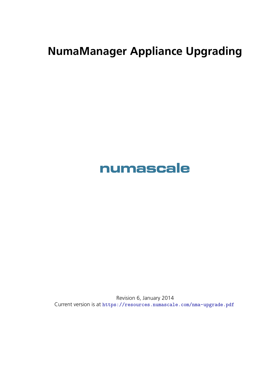## **NumaManager Appliance Upgrading**

## **numascale**

Revision 6, January 2014 Current version is at https://resources.numascale.com/nma-upgrade.pdf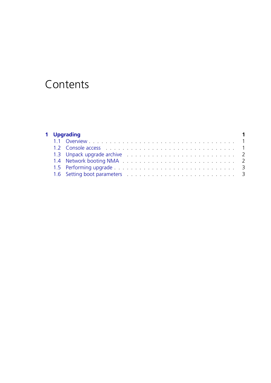## Contents

| 1 Upgrading |                                                                                                                                                                                                                                |  |  |
|-------------|--------------------------------------------------------------------------------------------------------------------------------------------------------------------------------------------------------------------------------|--|--|
|             |                                                                                                                                                                                                                                |  |  |
|             | 1.2 Console access enterity and the contract of the contract of the contract of the contract of the contract of the contract of the contract of the contract of the contract of the contract of the contract of the contract o |  |  |
|             |                                                                                                                                                                                                                                |  |  |
|             |                                                                                                                                                                                                                                |  |  |
|             |                                                                                                                                                                                                                                |  |  |
|             |                                                                                                                                                                                                                                |  |  |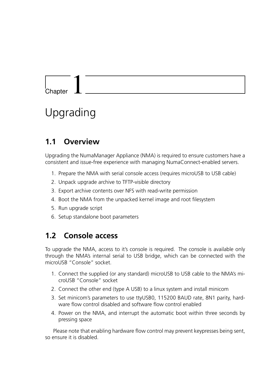# <span id="page-2-0"></span>Chapter 1

## Upgrading

#### <span id="page-2-1"></span>**1.1 Overview**

Upgrading the NumaManager Appliance (NMA) is required to ensure customers have a consistent and issue-free experience with managing NumaConnect-enabled servers.

- 1. Prepare the NMA with serial console access (requires microUSB to USB cable)
- 2. Unpack upgrade archive to TFTP-visible directory
- 3. Export archive contents over NFS with read-write permission
- 4. Boot the NMA from the unpacked kernel image and root filesystem
- 5. Run upgrade script
- 6. Setup standalone boot parameters

#### <span id="page-2-2"></span>**1.2 Console access**

To upgrade the NMA, access to it's console is required. The console is available only through the NMA's internal serial to USB bridge, which can be connected with the microUSB "Console" socket.

- 1. Connect the supplied (or any standard) microUSB to USB cable to the NMA's microUSB "Console" socket
- 2. Connect the other end (type A USB) to a linux system and install minicom
- 3. Set minicom's parameters to use ttyUSB0, 115200 BAUD rate, 8N1 parity, hardware flow control disabled and software flow control enabled
- 4. Power on the NMA, and interrupt the automatic boot within three seconds by pressing space

Please note that enabling hardware flow control may prevent keypresses being sent, so ensure it is disabled.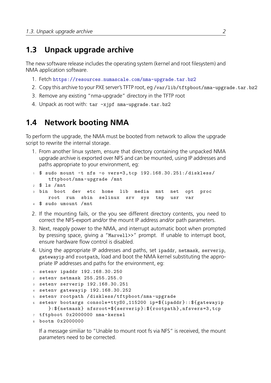#### **1.3 Unpack upgrade archive**

<span id="page-3-0"></span>The new software release includes the operating system (kernel and root filesystem) and NMA application software.

- 1. Fetch https://resources.numascale.com/nma-upgrade.tar.bz2
- 2. Copy this archive to your PXE server's TFTP root, eg /var/lib/tftpboot/nma-upgrade.tar.bz2
- 3. Remove any existing "nma-upgrade" directory in the TFTP root
- 4. Unpack as root with: [tar -xjpf nma-upgrade.tar.bz2](https://resources.numascale.com/nma-upgrade.tar.bz2)

### **1.4 Network booting NMA**

To perform the upgrade, the NMA must be booted from network to allow the upgrade script to rewrite the internal storage.

- 1. From another linux system, ensure that directory containing the unpacked NMA upgrade archive is exported over NFS and can be mounted, using IP addresses and paths appropriate to your environment, eg:
- <sup>1</sup> \$ sudo mount -t nfs -o vers=3,tcp 192.168.30.251:/diskless/ tftpboot/nma-upgrade /mnt
- <sup>2</sup> \$ ls /mnt
- <sup>3</sup> bin boot dev etc home lib media mnt net opt proc root run sbin selinux srv sys tmp usr var
- <sup>4</sup> \$ sudo umount /mnt
- 2. If the mounting fails, or the you see different directory contents, you need to correct the NFS-export and/or the mount IP address and/or path parameters.
- 3. Next, reapply power to the NMA, and interrupt automatic boot when prompted by pressing space, giving a "Marvell>>" prompt. If unable to interrupt boot, ensure hardware flow control is disabled.
- 4. Using the appropriate IP addresses and paths, set ipaddr, netmask, serverip, gatewayip and rootpath, load and boot the NMA kernel substituting the appropriate IP addresses and paths for the environment, eg:

```
1 setenv ipaddr 192.168.30.250
2 setenv netmask 255.255.255.0
3 setenv serverip 192.168.30.251
4 setenv gatewayip 192.168.30.252
5 setenv rootpath /diskless/tftpboot/nma-upgrade
6 setenv bootargs console=ttyS0 ,115200 ip=${ipaddr}::${gatewayip
     }:${netmask} nfsroot=${serverip}:${rootpath},nfsvers=3,tcp
7 tftpboot 0x2000000 nma-kernel
8 bootm 0x2000000
```
If a message similiar to "Unable to mount root fs via NFS" is received, the mount parameters need to be corrected.